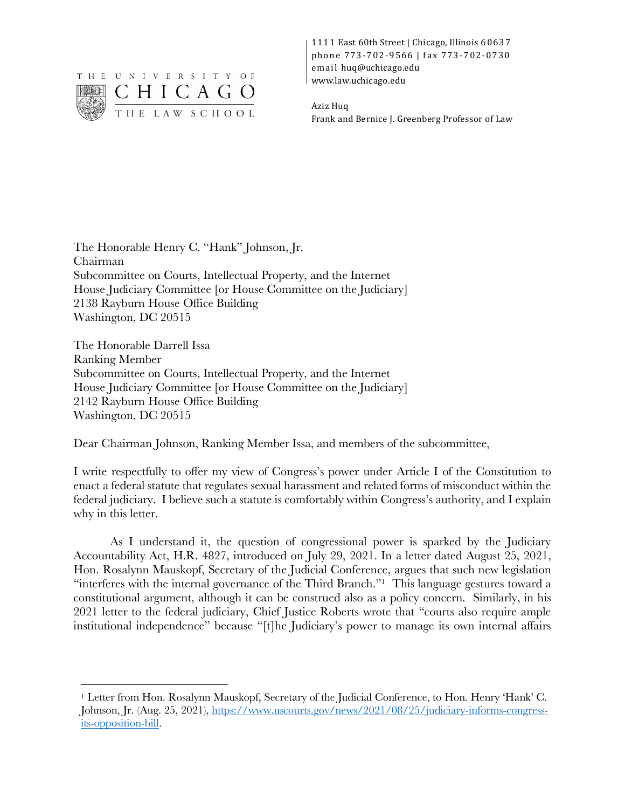

 $\overline{a}$ 

1111 East 60th Street | Chicago, Illinois 60637 phone 773-702-9566 | fax 773-702-0730 email huq@uchicago.edu www.law.uchicago.edu

Aziz Huq Frank and Bernice J. Greenberg Professor of Law

The Honorable Henry C. "Hank" Johnson, Jr. Chairman Subcommittee on Courts, Intellectual Property, and the Internet House Judiciary Committee [or House Committee on the Judiciary] 2138 Rayburn House Office Building Washington, DC 20515

The Honorable Darrell Issa Ranking Member Subcommittee on Courts, Intellectual Property, and the Internet House Judiciary Committee [or House Committee on the Judiciary] 2142 Rayburn House Office Building Washington, DC 20515

Dear Chairman Johnson, Ranking Member Issa, and members of the subcommittee,

I write respectfully to offer my view of Congress's power under Article I of the Constitution to enact a federal statute that regulates sexual harassment and related forms of misconduct within the federal judiciary. I believe such a statute is comfortably within Congress's authority, and I explain why in this letter.

As I understand it, the question of congressional power is sparked by the Judiciary Accountability Act, H.R. 4827, introduced on July 29, 2021. In a letter dated August 25, 2021, Hon. Rosalynn Mauskopf, Secretary of the Judicial Conference, argues that such new legislation "interferes with the internal governance of the Third Branch."1 This language gestures toward a constitutional argument, although it can be construed also as a policy concern. Similarly, in his 2021 letter to the federal judiciary, Chief Justice Roberts wrote that "courts also require ample institutional independence" because "[t]he Judiciary's power to manage its own internal affairs

<sup>1</sup> Letter from Hon. Rosalynn Mauskopf, Secretary of the Judicial Conference, to Hon. Henry 'Hank' C. Johnson, Jr. (Aug. 25, 2021), https://www.uscourts.gov/news/2021/08/25/judiciary-informs-congressits-opposition-bill.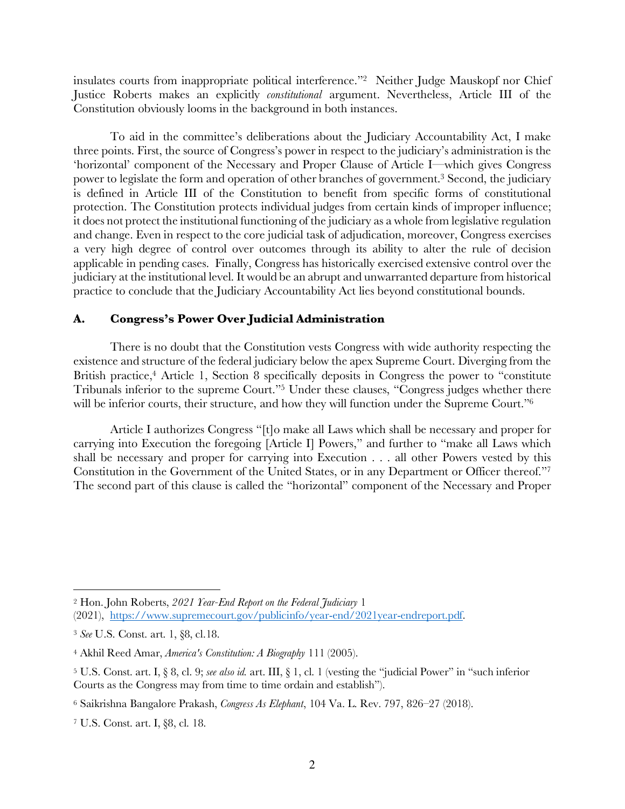insulates courts from inappropriate political interference."2 Neither Judge Mauskopf nor Chief Justice Roberts makes an explicitly *constitutional* argument. Nevertheless, Article III of the Constitution obviously looms in the background in both instances.

To aid in the committee's deliberations about the Judiciary Accountability Act, I make three points. First, the source of Congress's power in respect to the judiciary's administration is the 'horizontal' component of the Necessary and Proper Clause of Article I—which gives Congress power to legislate the form and operation of other branches of government. <sup>3</sup> Second, the judiciary is defined in Article III of the Constitution to benefit from specific forms of constitutional protection. The Constitution protects individual judges from certain kinds of improper influence; it does not protect the institutional functioning of the judiciary as a whole from legislative regulation and change. Even in respect to the core judicial task of adjudication, moreover, Congress exercises a very high degree of control over outcomes through its ability to alter the rule of decision applicable in pending cases. Finally, Congress has historically exercised extensive control over the judiciary at the institutional level. It would be an abrupt and unwarranted departure from historical practice to conclude that the Judiciary Accountability Act lies beyond constitutional bounds.

## **A. Congress's Power Over Judicial Administration**

There is no doubt that the Constitution vests Congress with wide authority respecting the existence and structure of the federal judiciary below the apex Supreme Court. Diverging from the British practice,<sup>4</sup> Article 1, Section 8 specifically deposits in Congress the power to "constitute Tribunals inferior to the supreme Court."5 Under these clauses, "Congress judges whether there will be inferior courts, their structure, and how they will function under the Supreme Court."<sup>6</sup>

Article I authorizes Congress "[t]o make all Laws which shall be necessary and proper for carrying into Execution the foregoing [Article I] Powers," and further to "make all Laws which shall be necessary and proper for carrying into Execution . . . all other Powers vested by this Constitution in the Government of the United States, or in any Department or Officer thereof."7 The second part of this clause is called the "horizontal" component of the Necessary and Proper

<sup>2</sup> Hon. John Roberts, *2021 Year-End Report on the Federal Judiciary* 1 (2021), https://www.supremecourt.gov/publicinfo/year-end/2021year-endreport.pdf.

<sup>3</sup> *See* U.S. Const. art. 1, §8, cl.18.

<sup>4</sup> Akhil Reed Amar, *America's Constitution: A Biography* 111 (2005).

<sup>5</sup> U.S. Const. art. I, § 8, cl. 9; *see also id.* art. III, § 1, cl. 1 (vesting the "judicial Power" in "such inferior Courts as the Congress may from time to time ordain and establish").

<sup>6</sup> Saikrishna Bangalore Prakash, *Congress As Elephant*, 104 Va. L. Rev. 797, 826–27 (2018).

<sup>7</sup> U.S. Const. art. I, §8, cl. 18.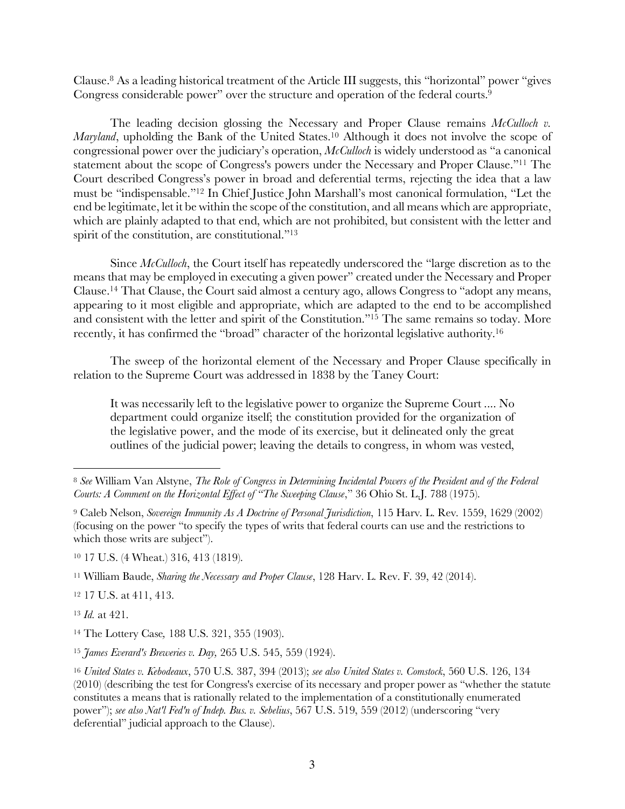Clause.8 As a leading historical treatment of the Article III suggests, this "horizontal" power "gives Congress considerable power" over the structure and operation of the federal courts.9

The leading decision glossing the Necessary and Proper Clause remains *McCulloch v. Maryland*, upholding the Bank of the United States.<sup>10</sup> Although it does not involve the scope of congressional power over the judiciary's operation, *McCulloch* is widely understood as "a canonical statement about the scope of Congress's powers under the Necessary and Proper Clause."11 The Court described Congress's power in broad and deferential terms, rejecting the idea that a law must be "indispensable."12 In Chief Justice John Marshall's most canonical formulation, "Let the end be legitimate, let it be within the scope of the constitution, and all means which are appropriate, which are plainly adapted to that end, which are not prohibited, but consistent with the letter and spirit of the constitution, are constitutional."<sup>13</sup>

Since *McCulloch*, the Court itself has repeatedly underscored the "large discretion as to the means that may be employed in executing a given power" created under the Necessary and Proper Clause.14 That Clause, the Court said almost a century ago, allows Congress to "adopt any means, appearing to it most eligible and appropriate, which are adapted to the end to be accomplished and consistent with the letter and spirit of the Constitution."15 The same remains so today. More recently, it has confirmed the "broad" character of the horizontal legislative authority.<sup>16</sup>

The sweep of the horizontal element of the Necessary and Proper Clause specifically in relation to the Supreme Court was addressed in 1838 by the Taney Court:

It was necessarily left to the legislative power to organize the Supreme Court .... No department could organize itself; the constitution provided for the organization of the legislative power, and the mode of its exercise, but it delineated only the great outlines of the judicial power; leaving the details to congress, in whom was vested,

<sup>12</sup> 17 U.S. at 411, 413.

<sup>13</sup> *Id.* at 421.

<sup>8</sup> *See* William Van Alstyne, *The Role of Congress in Determining Incidental Powers of the President and of the Federal Courts: A Comment on the Horizontal Effect of "The Sweeping Clause*," 36 Ohio St. L.J. 788 (1975).

<sup>9</sup> Caleb Nelson, *Sovereign Immunity As A Doctrine of Personal Jurisdiction*, 115 Harv. L. Rev. 1559, 1629 (2002) (focusing on the power "to specify the types of writs that federal courts can use and the restrictions to which those writs are subject").

<sup>10</sup> 17 U.S. (4 Wheat.) 316, 413 (1819).

<sup>11</sup> William Baude, *Sharing the Necessary and Proper Clause*, 128 Harv. L. Rev. F. 39, 42 (2014).

<sup>14</sup> The Lottery Case*,* 188 U.S. 321, 355 (1903).

<sup>15</sup> *James Everard's Breweries v. Day,* 265 U.S. 545, 559 (1924).

<sup>16</sup> *United States v. Kebodeaux*, 570 U.S. 387, 394 (2013); *see also United States v. Comstock*, 560 U.S. 126, 134 (2010) (describing the test for Congress's exercise of its necessary and proper power as "whether the statute constitutes a means that is rationally related to the implementation of a constitutionally enumerated power"); *see also Nat'l Fed'n of Indep. Bus. v. Sebelius*, 567 U.S. 519, 559 (2012) (underscoring "very deferential" judicial approach to the Clause).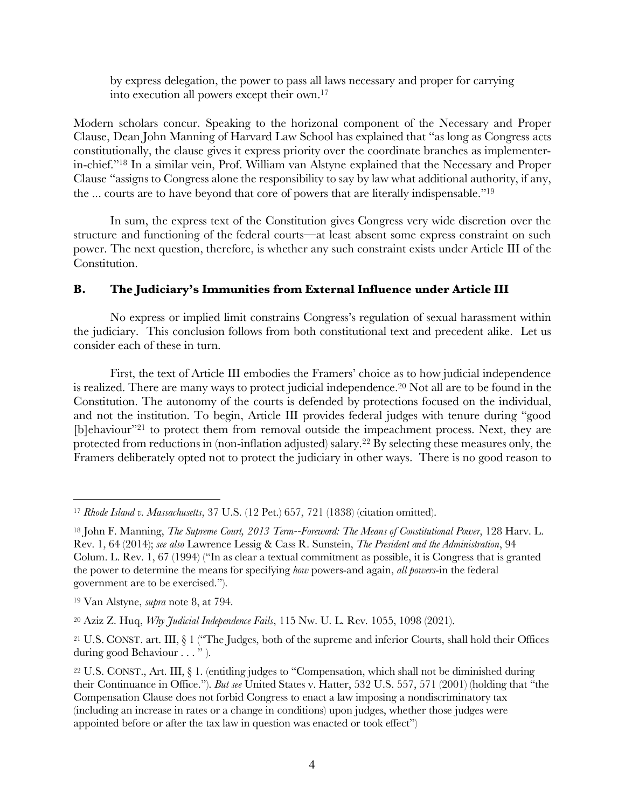by express delegation, the power to pass all laws necessary and proper for carrying into execution all powers except their own.17

Modern scholars concur. Speaking to the horizonal component of the Necessary and Proper Clause, Dean John Manning of Harvard Law School has explained that "as long as Congress acts constitutionally, the clause gives it express priority over the coordinate branches as implementerin-chief."18 In a similar vein, Prof. William van Alstyne explained that the Necessary and Proper Clause "assigns to Congress alone the responsibility to say by law what additional authority, if any, the ... courts are to have beyond that core of powers that are literally indispensable."19

In sum, the express text of the Constitution gives Congress very wide discretion over the structure and functioning of the federal courts—at least absent some express constraint on such power. The next question, therefore, is whether any such constraint exists under Article III of the Constitution.

## **B. The Judiciary's Immunities from External Influence under Article III**

No express or implied limit constrains Congress's regulation of sexual harassment within the judiciary. This conclusion follows from both constitutional text and precedent alike. Let us consider each of these in turn.

First, the text of Article III embodies the Framers' choice as to how judicial independence is realized. There are many ways to protect judicial independence.20 Not all are to be found in the Constitution. The autonomy of the courts is defended by protections focused on the individual, and not the institution. To begin, Article III provides federal judges with tenure during "good [b]ehaviour"21 to protect them from removal outside the impeachment process. Next, they are protected from reductions in (non-inflation adjusted) salary.22 By selecting these measures only, the Framers deliberately opted not to protect the judiciary in other ways. There is no good reason to

<sup>19</sup> Van Alstyne, *supra* note 8, at 794.

<sup>20</sup> Aziz Z. Huq, *Why Judicial Independence Fails*, 115 Nw. U. L. Rev. 1055, 1098 (2021).

<sup>21</sup> U.S. CONST. art. III, § 1 ("The Judges, both of the supreme and inferior Courts, shall hold their Offices during good Behaviour . . . " ).

<sup>22</sup> U.S. CONST., Art. III, § 1. (entitling judges to "Compensation, which shall not be diminished during their Continuance in Office."). *But see* United States v. Hatter, 532 U.S. 557, 571 (2001) (holding that "the Compensation Clause does not forbid Congress to enact a law imposing a nondiscriminatory tax (including an increase in rates or a change in conditions) upon judges, whether those judges were appointed before or after the tax law in question was enacted or took effect")

 $\overline{a}$ <sup>17</sup> *Rhode Island v. Massachusetts*, 37 U.S. (12 Pet.) 657, 721 (1838) (citation omitted).

<sup>18</sup> John F. Manning, *The Supreme Court, 2013 Term--Foreword: The Means of Constitutional Power*, 128 Harv. L. Rev. 1, 64 (2014); *see also* Lawrence Lessig & Cass R. Sunstein, *The President and the Administration*, 94 Colum. L. Rev. 1, 67 (1994) ("In as clear a textual commitment as possible, it is Congress that is granted the power to determine the means for specifying *how* powers-and again, *all powers*-in the federal government are to be exercised.").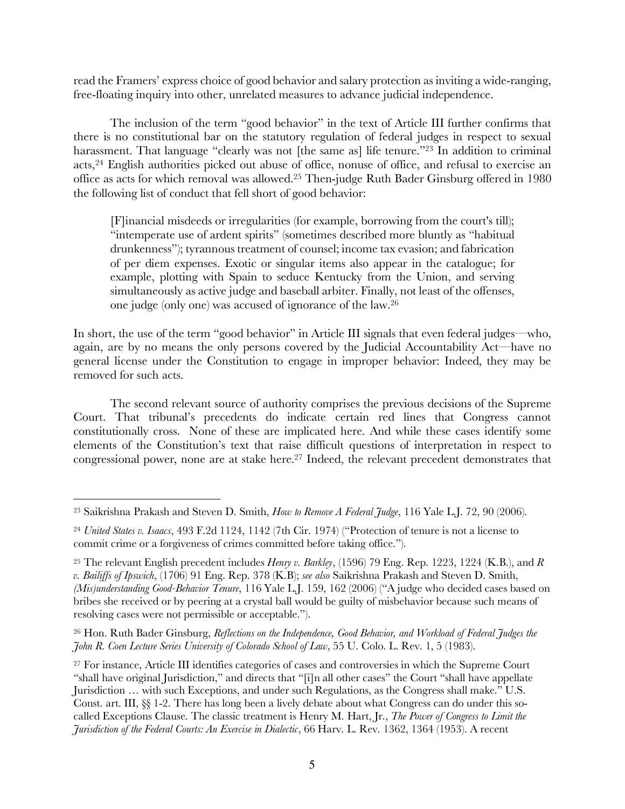read the Framers' express choice of good behavior and salary protection as inviting a wide-ranging, free-floating inquiry into other, unrelated measures to advance judicial independence.

The inclusion of the term "good behavior" in the text of Article III further confirms that there is no constitutional bar on the statutory regulation of federal judges in respect to sexual harassment. That language "clearly was not [the same as] life tenure."23 In addition to criminal acts,24 English authorities picked out abuse of office, nonuse of office, and refusal to exercise an office as acts for which removal was allowed.25 Then-judge Ruth Bader Ginsburg offered in 1980 the following list of conduct that fell short of good behavior:

[F]inancial misdeeds or irregularities (for example, borrowing from the court's till); "intemperate use of ardent spirits" (sometimes described more bluntly as "habitual drunkenness"); tyrannous treatment of counsel; income tax evasion; and fabrication of per diem expenses. Exotic or singular items also appear in the catalogue; for example, plotting with Spain to seduce Kentucky from the Union, and serving simultaneously as active judge and baseball arbiter. Finally, not least of the offenses, one judge (only one) was accused of ignorance of the law.26

In short, the use of the term "good behavior" in Article III signals that even federal judges—who, again, are by no means the only persons covered by the Judicial Accountability Act—have no general license under the Constitution to engage in improper behavior: Indeed, they may be removed for such acts.

The second relevant source of authority comprises the previous decisions of the Supreme Court. That tribunal's precedents do indicate certain red lines that Congress cannot constitutionally cross. None of these are implicated here. And while these cases identify some elements of the Constitution's text that raise difficult questions of interpretation in respect to congressional power, none are at stake here.27 Indeed, the relevant precedent demonstrates that

 $\overline{a}$ <sup>23</sup> Saikrishna Prakash and Steven D. Smith, *How to Remove A Federal Judge*, 116 Yale L.J. 72, 90 (2006).

<sup>24</sup> *United States v. Isaacs*, 493 F.2d 1124, 1142 (7th Cir. 1974) ("Protection of tenure is not a license to commit crime or a forgiveness of crimes committed before taking office.").

<sup>25</sup> The relevant English precedent includes *Henry v. Barkley*, (1596) 79 Eng. Rep. 1223, 1224 (K.B.), and *R v. Bailiffs of Ipswich*, (1706) 91 Eng. Rep. 378 (K.B); *see also* Saikrishna Prakash and Steven D. Smith, *(Mis)understanding Good-Behavior Tenure*, 116 Yale L.J. 159, 162 (2006) ("A judge who decided cases based on bribes she received or by peering at a crystal ball would be guilty of misbehavior because such means of resolving cases were not permissible or acceptable.").

<sup>26</sup> Hon. Ruth Bader Ginsburg, *Reflections on the Independence, Good Behavior, and Workload of Federal Judges the John R. Coen Lecture Series University of Colorado School of Law*, 55 U. Colo. L. Rev. 1, 5 (1983).

<sup>27</sup> For instance, Article III identifies categories of cases and controversies in which the Supreme Court "shall have original Jurisdiction," and directs that "[i]n all other cases" the Court "shall have appellate Jurisdiction … with such Exceptions, and under such Regulations, as the Congress shall make." U.S. Const. art. III, §§ 1-2. There has long been a lively debate about what Congress can do under this socalled Exceptions Clause. The classic treatment is Henry M. Hart, Jr., *The Power of Congress to Limit the Jurisdiction of the Federal Courts: An Exercise in Dialectic*, 66 Harv. L. Rev. 1362, 1364 (1953). A recent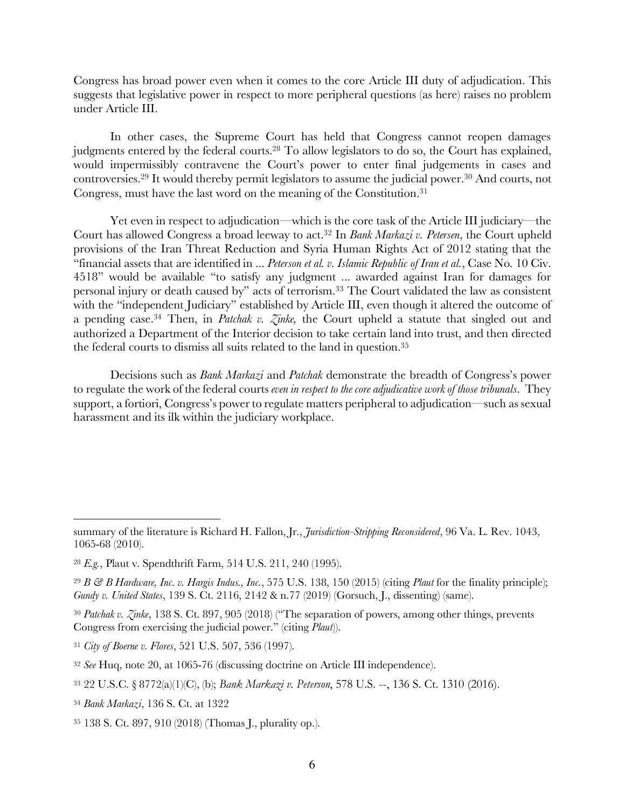Congress has broad power even when it comes to the core Article III duty of adjudication. This suggests that legislative power in respect to more peripheral questions (as here) raises no problem under Article III.

In other cases, the Supreme Court has held that Congress cannot reopen damages judgments entered by the federal courts.28 To allow legislators to do so, the Court has explained, would impermissibly contravene the Court's power to enter final judgements in cases and controversies.29 It would thereby permit legislators to assume the judicial power.30 And courts, not Congress, must have the last word on the meaning of the Constitution.31

Yet even in respect to adjudication—which is the core task of the Article III judiciary—the Court has allowed Congress a broad leeway to act.32 In *Bank Markazi v. Petersen*, the Court upheld provisions of the Iran Threat Reduction and Syria Human Rights Act of 2012 stating that the "financial assets that are identified in ... *Peterson et al. v. Islamic Republic of Iran et al.*, Case No. 10 Civ. 4518" would be available "to satisfy any judgment ... awarded against Iran for damages for personal injury or death caused by" acts of terrorism.33 The Court validated the law as consistent with the "independent Judiciary" established by Article III, even though it altered the outcome of a pending case.34 Then, in *Patchak v. Zinke,* the Court upheld a statute that singled out and authorized a Department of the Interior decision to take certain land into trust, and then directed the federal courts to dismiss all suits related to the land in question.35

Decisions such as *Bank Markazi* and *Patchak* demonstrate the breadth of Congress's power to regulate the work of the federal courts *even in respect to the core adjudicative work of those tribunals*. They support, a fortiori, Congress's power to regulate matters peripheral to adjudication—such as sexual harassment and its ilk within the judiciary workplace.

summary of the literature is Richard H. Fallon, Jr., *Jurisdiction-Stripping Reconsidered*, 96 Va. L. Rev. 1043, 1065-68 (2010).

<sup>28</sup> *E.g.*, Plaut v. Spendthrift Farm, 514 U.S. 211, 240 (1995).

<sup>29</sup> *B & B Hardware, Inc. v. Hargis Indus., Inc.*, 575 U.S. 138, 150 (2015) (citing *Plaut* for the finality principle); *Gundy v. United States*, 139 S. Ct. 2116, 2142 & n.77 (2019) (Gorsuch, J., dissenting) (same).

<sup>30</sup> *Patchak v. Zinke*, 138 S. Ct. 897, 905 (2018) ("The separation of powers, among other things, prevents Congress from exercising the judicial power." (citing *Plaut*)).

<sup>31</sup> *City of Boerne v. Flores*, 521 U.S. 507, 536 (1997).

<sup>32</sup> *See* Huq, note 20, at 1065-76 (discussing doctrine on Article III independence).

<sup>33</sup> 22 U.S.C. § 8772(a)(1)(C), (b); *Bank Markazi v. Peterson*, 578 U.S. --, 136 S. Ct. 1310 (2016).

<sup>34</sup> *Bank Markazi*, 136 S. Ct. at 1322

<sup>35</sup> 138 S. Ct. 897, 910 (2018) (Thomas J., plurality op.).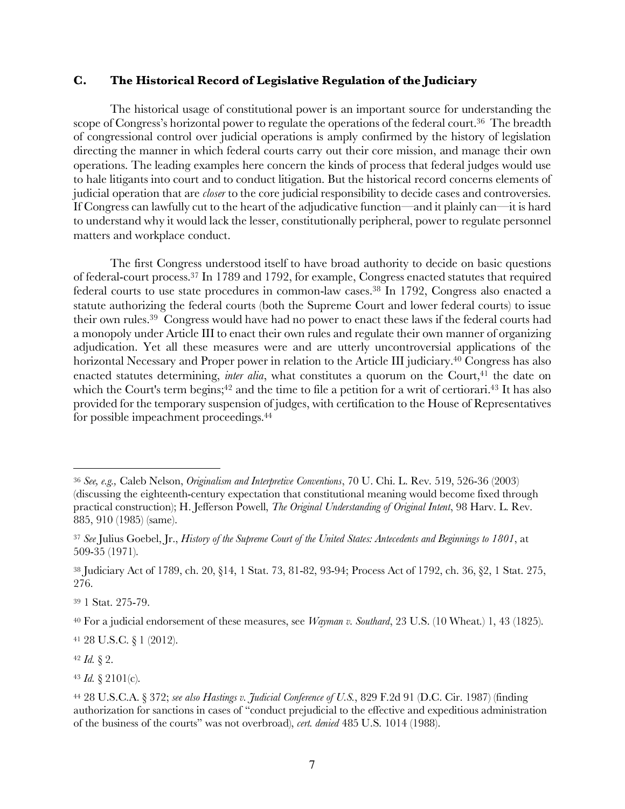## **C. The Historical Record of Legislative Regulation of the Judiciary**

The historical usage of constitutional power is an important source for understanding the scope of Congress's horizontal power to regulate the operations of the federal court.<sup>36</sup> The breadth of congressional control over judicial operations is amply confirmed by the history of legislation directing the manner in which federal courts carry out their core mission, and manage their own operations. The leading examples here concern the kinds of process that federal judges would use to hale litigants into court and to conduct litigation. But the historical record concerns elements of judicial operation that are *closer* to the core judicial responsibility to decide cases and controversies. If Congress can lawfully cut to the heart of the adjudicative function—and it plainly can—it is hard to understand why it would lack the lesser, constitutionally peripheral, power to regulate personnel matters and workplace conduct.

The first Congress understood itself to have broad authority to decide on basic questions of federal-court process.37 In 1789 and 1792, for example, Congress enacted statutes that required federal courts to use state procedures in common-law cases.38 In 1792, Congress also enacted a statute authorizing the federal courts (both the Supreme Court and lower federal courts) to issue their own rules.39 Congress would have had no power to enact these laws if the federal courts had a monopoly under Article III to enact their own rules and regulate their own manner of organizing adjudication. Yet all these measures were and are utterly uncontroversial applications of the horizontal Necessary and Proper power in relation to the Article III judiciary.40 Congress has also enacted statutes determining, *inter alia*, what constitutes a quorum on the Court,<sup>41</sup> the date on which the Court's term begins;<sup>42</sup> and the time to file a petition for a writ of certiorari.<sup>43</sup> It has also provided for the temporary suspension of judges, with certification to the House of Representatives for possible impeachment proceedings.44

<sup>39</sup> 1 Stat. 275-79.

<sup>40</sup> For a judicial endorsement of these measures, see *Wayman v. Southard*, 23 U.S. (10 Wheat.) 1, 43 (1825).

<sup>41</sup> 28 U.S.C. § 1 (2012).

<sup>42</sup> *Id.* § 2.

<sup>36</sup> *See, e.g.,* Caleb Nelson, *Originalism and Interpretive Conventions*, 70 U. Chi. L. Rev. 519, 526-36 (2003) (discussing the eighteenth-century expectation that constitutional meaning would become fixed through practical construction); H. Jefferson Powell, *The Original Understanding of Original Intent*, 98 Harv. L. Rev. 885, 910 (1985) (same).

<sup>37</sup> *See* Julius Goebel, Jr., *History of the Supreme Court of the United States: Antecedents and Beginnings to 1801*, at 509-35 (1971).

<sup>38</sup> Judiciary Act of 1789, ch. 20, §14, 1 Stat. 73, 81-82, 93-94; Process Act of 1792, ch. 36, §2, 1 Stat. 275, 276.

<sup>43</sup> *Id.* § 2101(c).

<sup>44</sup> 28 U.S.C.A. § 372; *see also Hastings v. Judicial Conference of U.S.*, 829 F.2d 91 (D.C. Cir. 1987) (finding authorization for sanctions in cases of "conduct prejudicial to the effective and expeditious administration of the business of the courts" was not overbroad), *cert. denied* 485 U.S. 1014 (1988).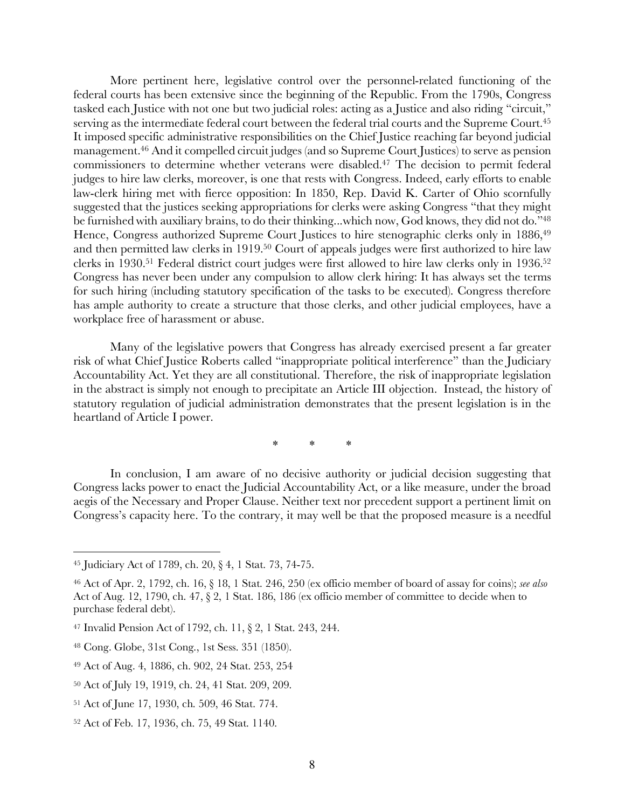More pertinent here, legislative control over the personnel-related functioning of the federal courts has been extensive since the beginning of the Republic. From the 1790s, Congress tasked each Justice with not one but two judicial roles: acting as a Justice and also riding "circuit," serving as the intermediate federal court between the federal trial courts and the Supreme Court.<sup>45</sup> It imposed specific administrative responsibilities on the Chief Justice reaching far beyond judicial management.46 And it compelled circuit judges (and so Supreme Court Justices) to serve as pension commissioners to determine whether veterans were disabled.47 The decision to permit federal judges to hire law clerks, moreover, is one that rests with Congress. Indeed, early efforts to enable law-clerk hiring met with fierce opposition: In 1850, Rep. David K. Carter of Ohio scornfully suggested that the justices seeking appropriations for clerks were asking Congress "that they might be furnished with auxiliary brains, to do their thinking...which now, God knows, they did not do."48 Hence, Congress authorized Supreme Court Justices to hire stenographic clerks only in 1886,<sup>49</sup> and then permitted law clerks in 1919.50 Court of appeals judges were first authorized to hire law clerks in 1930.51 Federal district court judges were first allowed to hire law clerks only in 1936.52 Congress has never been under any compulsion to allow clerk hiring: It has always set the terms for such hiring (including statutory specification of the tasks to be executed). Congress therefore has ample authority to create a structure that those clerks, and other judicial employees, have a workplace free of harassment or abuse.

Many of the legislative powers that Congress has already exercised present a far greater risk of what Chief Justice Roberts called "inappropriate political interference" than the Judiciary Accountability Act. Yet they are all constitutional. Therefore, the risk of inappropriate legislation in the abstract is simply not enough to precipitate an Article III objection. Instead, the history of statutory regulation of judicial administration demonstrates that the present legislation is in the heartland of Article I power.

\* \* \*

In conclusion, I am aware of no decisive authority or judicial decision suggesting that Congress lacks power to enact the Judicial Accountability Act, or a like measure, under the broad aegis of the Necessary and Proper Clause. Neither text nor precedent support a pertinent limit on Congress's capacity here. To the contrary, it may well be that the proposed measure is a needful

<sup>45</sup> Judiciary Act of 1789, ch. 20, § 4, 1 Stat. 73, 74-75.

<sup>46</sup> Act of Apr. 2, 1792, ch. 16, § 18, 1 Stat. 246, 250 (ex officio member of board of assay for coins); *see also* Act of Aug. 12, 1790, ch. 47, § 2, 1 Stat. 186, 186 (ex officio member of committee to decide when to purchase federal debt).

<sup>47</sup> Invalid Pension Act of 1792, ch. 11, § 2, 1 Stat. 243, 244.

<sup>48</sup> Cong. Globe, 31st Cong., 1st Sess. 351 (1850).

<sup>49</sup> Act of Aug. 4, 1886, ch. 902, 24 Stat. 253, 254

<sup>50</sup> Act of July 19, 1919, ch. 24, 41 Stat. 209, 209.

<sup>51</sup> Act of June 17, 1930, ch. 509, 46 Stat. 774.

<sup>52</sup> Act of Feb. 17, 1936, ch. 75, 49 Stat. 1140.